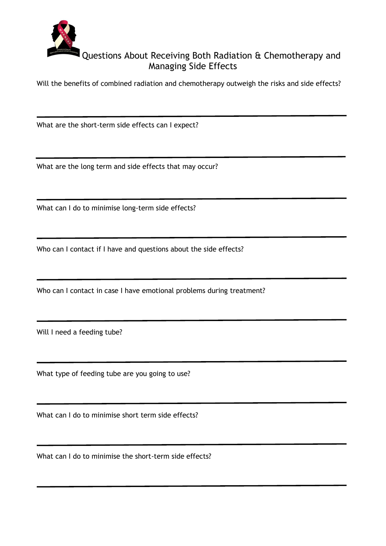

## Questions About Receiving Both Radiation & Chemotherapy and Managing Side Effects

Will the benefits of combined radiation and chemotherapy outweigh the risks and side effects?

What are the short-term side effects can I expect?

What are the long term and side effects that may occur?

What can I do to minimise long-term side effects?

Who can I contact if I have and questions about the side effects?

Who can I contact in case I have emotional problems during treatment?

Will I need a feeding tube?

What type of feeding tube are you going to use?

What can I do to minimise short term side effects?

What can I do to minimise the short-term side effects?